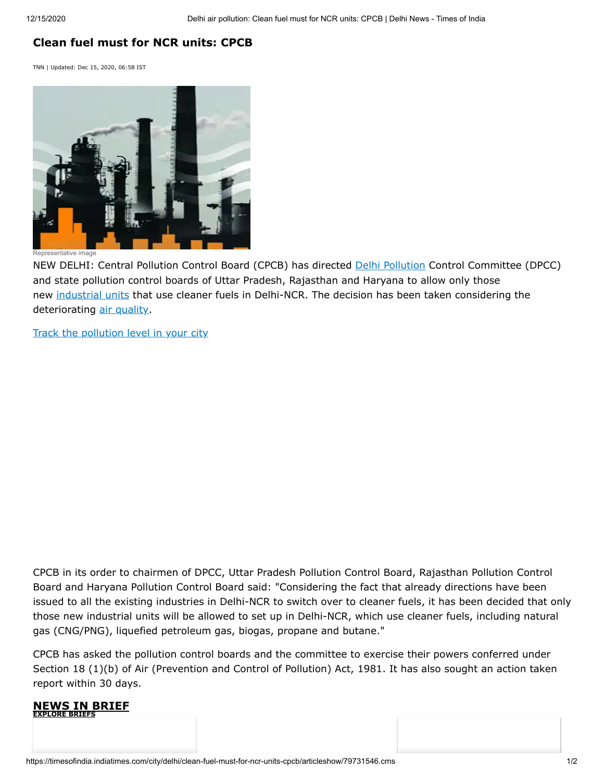## **Clean fuel must for NCR units: CPCB**

TNN | Updated: Dec 15, 2020, 06:58 IST



Representative image

NEW DELHI: Central Pollution Control Board (CPCB) has directed [Delhi Pollution](https://timesofindia.indiatimes.com/topic/delhi-air-pollution) Control Committee (DPCC) and state pollution control boards of Uttar Pradesh, Rajasthan and Haryana to allow only those new [industrial units](https://timesofindia.indiatimes.com/topic/industrial-units) that use cleaner fuels in Delhi-NCR. The decision has been taken considering the deteriorating [air quality.](https://timesofindia.indiatimes.com/topic/delhi-air-pollution)

[Track the pollution level in your city](https://timesofindia.indiatimes.com/india/pollution-news)

CPCB in its order to chairmen of DPCC, Uttar Pradesh Pollution Control Board, Rajasthan Pollution Control Board and Haryana Pollution Control Board said: "Considering the fact that already directions have been issued to all the existing industries in Delhi-NCR to switch over to cleaner fuels, it has been decided that only those new industrial units will be allowed to set up in Delhi-NCR, which use cleaner fuels, including natural gas (CNG/PNG), liquefied petroleum gas, biogas, propane and butane."

CPCB has asked the pollution control boards and the committee to exercise their powers conferred under Section 18 (1)(b) of Air (Prevention and Control of Pollution) Act, 1981. It has also sought an action taken report within 30 days.

## **NBRIEF [EXPLORE BRIEFS](https://timesofindia.indiatimes.com/briefs/india)**